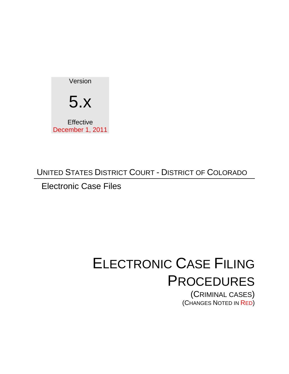

# UNITED STATES DISTRICT COURT - DISTRICT OF COLORADO

Electronic Case Files

# ELECTRONIC CASE FILING PROCEDURES

(CRIMINAL CASES) (CHANGES NOTED IN RED)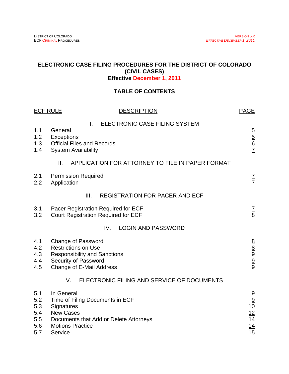#### **ELECTRONIC CASE FILING PROCEDURES FOR THE DISTRICT OF COLORADO (CIVIL CASES) Effective December 1, 2011**

#### **TABLE OF CONTENTS**

| <b>ECF RULE</b><br><b>DESCRIPTION</b>         |                                                                                                                                                                 | <b>PAGE</b>                                                    |
|-----------------------------------------------|-----------------------------------------------------------------------------------------------------------------------------------------------------------------|----------------------------------------------------------------|
| 1.1<br>1.2<br>1.3<br>1.4                      | ELECTRONIC CASE FILING SYSTEM<br>Τ.<br>General<br>Exceptions<br><b>Official Files and Records</b><br><b>System Availability</b>                                 | $\frac{5}{6}$ $\frac{6}{7}$                                    |
|                                               | II.<br>APPLICATION FOR ATTORNEY TO FILE IN PAPER FORMAT                                                                                                         |                                                                |
| 2.1<br>2.2                                    | <b>Permission Required</b><br>Application                                                                                                                       | $\frac{7}{7}$                                                  |
|                                               | <b>REGISTRATION FOR PACER AND ECF</b><br>III.                                                                                                                   |                                                                |
| 3.1<br>3.2                                    | Pacer Registration Required for ECF<br><b>Court Registration Required for ECF</b>                                                                               | $\frac{7}{8}$                                                  |
|                                               | <b>LOGIN AND PASSWORD</b><br>IV.                                                                                                                                |                                                                |
| 4.1<br>4.2<br>4.3<br>4.4<br>4.5               | <b>Change of Password</b><br><b>Restrictions on Use</b><br><b>Responsibility and Sanctions</b><br>Security of Password<br><b>Change of E-Mail Address</b>       | 8<br>8<br>8<br>9<br>8<br>8                                     |
|                                               | ELECTRONIC FILING AND SERVICE OF DOCUMENTS<br>V.                                                                                                                |                                                                |
| 5.1<br>5.2<br>5.3<br>5.4<br>5.5<br>5.6<br>5.7 | In General<br>Time of Filing Documents in ECF<br>Signatures<br><b>New Cases</b><br>Documents that Add or Delete Attorneys<br><b>Motions Practice</b><br>Service | $\frac{9}{10}$ $\frac{10}{12}$ $\frac{14}{14}$ $\frac{14}{15}$ |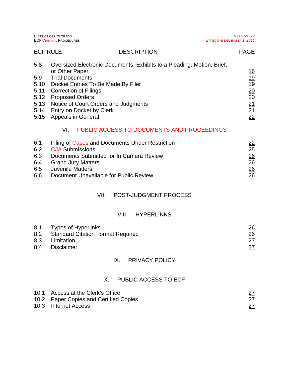|                                                                                                                                                                                                                                                                                                  | <b>ECF CRIMINAL PROCEDURES</b>                    |                                                                                                                                                                    | <b>EFFECTIVE DECEMBER 1, 2011</b>                              |
|--------------------------------------------------------------------------------------------------------------------------------------------------------------------------------------------------------------------------------------------------------------------------------------------------|---------------------------------------------------|--------------------------------------------------------------------------------------------------------------------------------------------------------------------|----------------------------------------------------------------|
| <b>ECF RULE</b>                                                                                                                                                                                                                                                                                  |                                                   | <b>DESCRIPTION</b>                                                                                                                                                 | <b>PAGE</b>                                                    |
| 5.8<br>or Other Paper<br><b>Trial Documents</b><br>5.9<br>5.10<br>Docket Entries To Be Made By Filer<br>5.11<br><b>Correction of Filings</b><br><b>Proposed Orders</b><br>5.12<br>Notice of Court Orders and Judgments<br>5.13<br>5.14<br>Entry on Docket by Clerk<br>Appeals in General<br>5.15 |                                                   | Oversized Electronic Documents; Exhibits to a Pleading, Motion, Brief,                                                                                             | <u>16</u><br>$\frac{19}{20}$ $\frac{20}{21}$ $\frac{21}{22}$   |
|                                                                                                                                                                                                                                                                                                  | VI.                                               | PUBLIC ACCESS TO DOCUMENTS AND PROCEEDINGS                                                                                                                         |                                                                |
| 6.1<br>6.2<br>6.3<br>6.4<br>6.5<br>6.6                                                                                                                                                                                                                                                           | <b>CJA Submissions</b><br><b>Juvenile Matters</b> | Filing of Cases and Documents Under Restriction<br>Documents Submitted for In Camera Review<br><b>Grand Jury Matters</b><br>Document Unavailable for Public Review | $\frac{22}{25} \frac{25}{26}$<br>$\frac{26}{26} \frac{26}{26}$ |

DISTRICT OF COLORADO VERSION 5.X

# VII. POST-JUDGMENT PROCESS

# VIII. HYPERLINKS

|     | 8.1 Types of Hyperlinks                  | <u> 26</u> |
|-----|------------------------------------------|------------|
| 8.2 | <b>Standard Citation Format Required</b> | 26         |
| 8.3 | Limitation                               |            |
| 8.4 | Disclaimer                               |            |

# IX. PRIVACY POLICY

# X. PUBLIC ACCESS TO ECF

| 10.1 Access at the Clerk's Office      |  |
|----------------------------------------|--|
| 10.2 Paper Copies and Certified Copies |  |
| 10.3 Internet Access                   |  |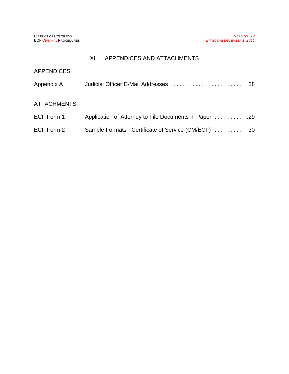# XI. APPENDICES AND ATTACHMENTS

| <b>APPENDICES</b>  |                                                       |  |
|--------------------|-------------------------------------------------------|--|
| Appendix A         |                                                       |  |
| <b>ATTACHMENTS</b> |                                                       |  |
| ECF Form 1         | Application of Attorney to File Documents in Paper 29 |  |
| ECF Form 2         | Sample Formats - Certificate of Service (CM/ECF)  30  |  |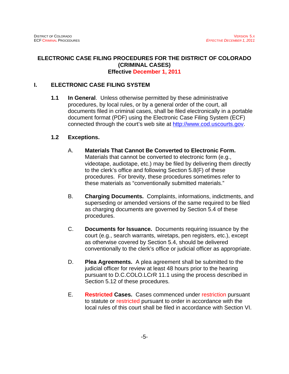#### **ELECTRONIC CASE FILING PROCEDURES FOR THE DISTRICT OF COLORADO (CRIMINAL CASES) Effective December 1, 2011**

#### **I. ELECTRONIC CASE FILING SYSTEM**

**1.1 In General**. Unless otherwise permitted by these administrative procedures, by local rules, or by a general order of the court, all documents filed in criminal cases, shall be filed electronically in a portable document format (PDF) using the Electronic Case Filing System (ECF) connected through the court's web site at http://www.cod.uscourts.gov.

#### **1.2 Exceptions.**

- A. **Materials That Cannot Be Converted to Electronic Form.**  Materials that cannot be converted to electronic form (e.g., videotape, audiotape, etc.) may be filed by delivering them directly to the clerk's office and following Section 5.8(F) of these procedures. For brevity, these procedures sometimes refer to these materials as "conventionally submitted materials."
- B. **Charging Documents.** Complaints, informations, indictments, and superseding or amended versions of the same required to be filed as charging documents are governed by Section 5.4 of these procedures.
- C. **Documents for Issuance.** Documents requiring issuance by the court (e.g., search warrants, wiretaps, pen registers, etc.), except as otherwise covered by Section 5.4, should be delivered conventionally to the clerk's office or judicial officer as appropriate.
- D. **Plea Agreements.** A plea agreement shall be submitted to the judicial officer for review at least 48 hours prior to the hearing pursuant to D.C.COLO.LCrR 11.1 using the process described in Section 5.12 of these procedures.
- E. **Restricted Cases.** Cases commenced under restriction pursuant to statute or restricted pursuant to order in accordance with the local rules of this court shall be filed in accordance with Section VI.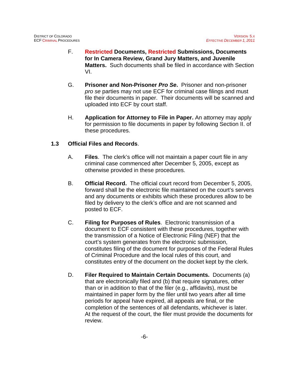- F. **Restricted Documents, Restricted Submissions, Documents for In Camera Review, Grand Jury Matters, and Juvenile Matters.** Such documents shall be filed in accordance with Section VI.
- G. **Prisoner and Non-Prisoner** *Pro Se***.** Prisoner and non-prisoner *pro se* parties may not use ECF for criminal case filings and must file their documents in paper. Their documents will be scanned and uploaded into ECF by court staff.
- H. **Application for Attorney to File in Paper.** An attorney may apply for permission to file documents in paper by following Section II. of these procedures.

#### **1.3 Official Files and Records**.

- A. **Files**. The clerk's office will not maintain a paper court file in any criminal case commenced after December 5, 2005, except as otherwise provided in these procedures.
- B. **Official Record.** The official court record from December 5, 2005, forward shall be the electronic file maintained on the court's servers and any documents or exhibits which these procedures allow to be filed by delivery to the clerk's office and are not scanned and posted to ECF.
- C. **Filing for Purposes of Rules**. Electronic transmission of a document to ECF consistent with these procedures, together with the transmission of a Notice of Electronic Filing (NEF) that the court's system generates from the electronic submission, constitutes filing of the document for purposes of the Federal Rules of Criminal Procedure and the local rules of this court, and constitutes entry of the document on the docket kept by the clerk.
- D. **Filer Required to Maintain Certain Documents.** Documents (a) that are electronically filed and (b) that require signatures, other than or in addition to that of the filer (e.g., affidavits), must be maintained in paper form by the filer until two years after all time periods for appeal have expired, all appeals are final, or the completion of the sentences of all defendants, whichever is later. At the request of the court, the filer must provide the documents for review.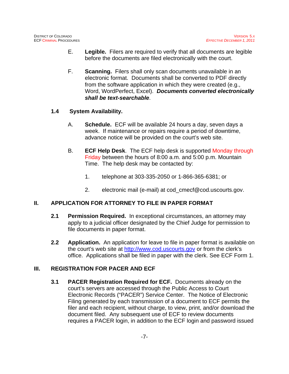- E. **Legible.** Filers are required to verify that all documents are legible before the documents are filed electronically with the court.
- F. **Scanning.** Filers shall only scan documents unavailable in an electronic format. Documents shall be converted to PDF directly from the software application in which they were created (e.g., Word, WordPerfect, Excel). *Documents converted electronically shall be text-searchable*.

#### **1.4 System Availability.**

- A. **Schedule.** ECF will be available 24 hours a day, seven days a week. If maintenance or repairs require a period of downtime, advance notice will be provided on the court's web site.
- B. **ECF Help Desk**. The ECF help desk is supported Monday through Friday between the hours of 8:00 a.m. and 5:00 p.m. Mountain Time. The help desk may be contacted by:
	- 1. telephone at 303-335-2050 or 1-866-365-6381; or
	- 2. electronic mail (e-mail) at cod\_cmecf@cod.uscourts.gov.

# **II. APPLICATION FOR ATTORNEY TO FILE IN PAPER FORMAT**

- **2.1 Permission Required.** In exceptional circumstances, an attorney may apply to a judicial officer designated by the Chief Judge for permission to file documents in paper format.
- **2.2 Application.** An application for leave to file in paper format is available on the court's web site at http://www.cod.uscourts.gov or from the clerk's office. Applications shall be filed in paper with the clerk. See ECF Form 1.

# **III. REGISTRATION FOR PACER AND ECF**

**3.1 PACER Registration Required for ECF.** Documents already on the court's servers are accessed through the Public Access to Court Electronic Records ("PACER") Service Center. The Notice of Electronic Filing generated by each transmission of a document to ECF permits the filer and each recipient, without charge, to view, print, and/or download the document filed. Any subsequent use of ECF to review documents requires a PACER login, in addition to the ECF login and password issued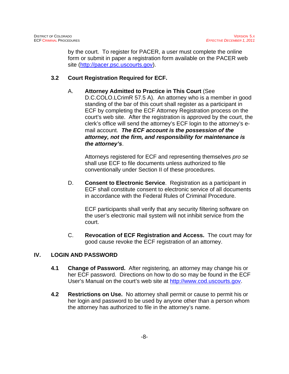by the court. To register for PACER, a user must complete the online form or submit in paper a registration form available on the PACER web site (http://pacer.psc.uscourts.gov).

# **3.2 Court Registration Required for ECF.**

A. **Attorney Admitted to Practice in This Court** (See D.C.COLO.LCrimR 57.5 A). An attorney who is a member in good standing of the bar of this court shall register as a participant in ECF by completing the ECF Attorney Registration process on the court's web site. After the registration is approved by the court, the clerk's office will send the attorney's ECF login to the attorney's email account. *The ECF account is the possession of the attorney, not the firm, and responsibility for maintenance is the attorney's*.

Attorneys registered for ECF and representing themselves *pro se* shall use ECF to file documents unless authorized to file conventionally under Section II of these procedures.

D. **Consent to Electronic Service**. Registration as a participant in ECF shall constitute consent to electronic service of all documents in accordance with the Federal Rules of Criminal Procedure.

ECF participants shall verify that any security filtering software on the user's electronic mail system will not inhibit service from the court.

C. **Revocation of ECF Registration and Access.** The court may for good cause revoke the ECF registration of an attorney.

# **IV. LOGIN AND PASSWORD**

- **4.1 Change of Password.** After registering, an attorney may change his or her ECF password. Directions on how to do so may be found in the ECF User's Manual on the court's web site at http://www.cod.uscourts.gov.
- **4.2 Restrictions on Use.** No attorney shall permit or cause to permit his or her login and password to be used by anyone other than a person whom the attorney has authorized to file in the attorney's name.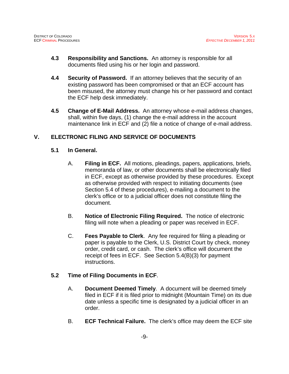- **4.3 Responsibility and Sanctions.** An attorney is responsible for all documents filed using his or her login and password.
- **4.4 Security of Password.** If an attorney believes that the security of an existing password has been compromised or that an ECF account has been misused, the attorney must change his or her password and contact the ECF help desk immediately.
- **4.5 Change of E-Mail Address.** An attorney whose e-mail address changes, shall, within five days, (1) change the e-mail address in the account maintenance link in ECF and (2) file a notice of change of e-mail address.

# **V. ELECTRONIC FILING AND SERVICE OF DOCUMENTS**

#### **5.1 In General.**

- A. **Filing in ECF.** All motions, pleadings, papers, applications, briefs, memoranda of law, or other documents shall be electronically filed in ECF, except as otherwise provided by these procedures. Except as otherwise provided with respect to initiating documents (see Section 5.4 of these procedures), e-mailing a document to the clerk's office or to a judicial officer does not constitute filing the document.
- B. **Notice of Electronic Filing Required.** The notice of electronic filing will note when a pleading or paper was received in ECF.
- C. **Fees Payable to Clerk**. Any fee required for filing a pleading or paper is payable to the Clerk, U.S. District Court by check, money order, credit card, or cash. The clerk's office will document the receipt of fees in ECF. See Section 5.4(B)(3) for payment instructions.

# **5.2 Time of Filing Documents in ECF**.

- A. **Document Deemed Timely**. A document will be deemed timely filed in ECF if it is filed prior to midnight (Mountain Time) on its due date unless a specific time is designated by a judicial officer in an order.
- B. **ECF Technical Failure.** The clerk's office may deem the ECF site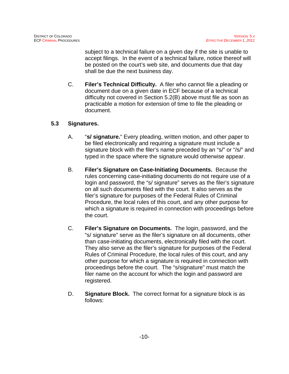subject to a technical failure on a given day if the site is unable to accept filings. In the event of a technical failure, notice thereof will be posted on the court's web site, and documents due that day shall be due the next business day.

C. **Filer's Technical Difficulty.** A filer who cannot file a pleading or document due on a given date in ECF because of a technical difficulty not covered in Section 5.2(B) above must file as soon as practicable a motion for extension of time to file the pleading or document.

# **5.3 Signatures.**

- A. "**s/ signature.**" Every pleading, written motion, and other paper to be filed electronically and requiring a signature must include a signature block with the filer's name preceded by an "s/" or "/s/" and typed in the space where the signature would otherwise appear.
- B. **Filer's Signature on Case-Initiating Documents.** Because the rules concerning case-initiating documents do not require use of a login and password, the "s/ signature" serves as the filer's signature on all such documents filed with the court. It also serves as the filer's signature for purposes of the Federal Rules of Criminal Procedure, the local rules of this court, and any other purpose for which a signature is required in connection with proceedings before the court.
- C. **Filer's Signature on Documents.** The login, password, and the "s/ signature" serve as the filer's signature on all documents, other than case-initiating documents, electronically filed with the court. They also serve as the filer's signature for purposes of the Federal Rules of Criminal Procedure, the local rules of this court, and any other purpose for which a signature is required in connection with proceedings before the court. The "s/signature" must match the filer name on the account for which the login and password are registered.
- D. **Signature Block.** The correct format for a signature block is as follows: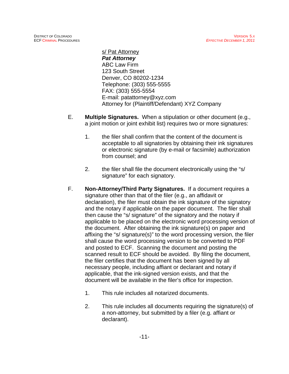s/ Pat Attorney *Pat Attorney* ABC Law Firm 123 South Street Denver, CO 80202-1234 Telephone: (303) 555-5555 FAX: (303) 555-5554 E-mail: patattorney@xyz.com Attorney for (Plaintiff/Defendant) XYZ Company

- E. **Multiple Signatures.** When a stipulation or other document (e.g., a joint motion or joint exhibit list) requires two or more signatures:
	- 1. the filer shall confirm that the content of the document is acceptable to all signatories by obtaining their ink signatures or electronic signature (by e-mail or facsimile) authorization from counsel; and
	- 2. the filer shall file the document electronically using the "s/ signature" for each signatory.
- F. **Non-Attorney/Third Party Signatures.** If a document requires a signature other than that of the filer (e.g., an affidavit or declaration), the filer must obtain the ink signature of the signatory and the notary if applicable on the paper document. The filer shall then cause the "s/ signature" of the signatory and the notary if applicable to be placed on the electronic word processing version of the document. After obtaining the ink signature(s) on paper and affixing the "s/ signature(s)" to the word processing version, the filer shall cause the word processing version to be converted to PDF and posted to ECF. Scanning the document and posting the scanned result to ECF should be avoided. By filing the document, the filer certifies that the document has been signed by all necessary people, including affiant or declarant and notary if applicable, that the ink-signed version exists, and that the document will be available in the filer's office for inspection.
	- 1. This rule includes all notarized documents.
	- 2. This rule includes all documents requiring the signature(s) of a non-attorney, but submitted by a filer (e.g. affiant or declarant).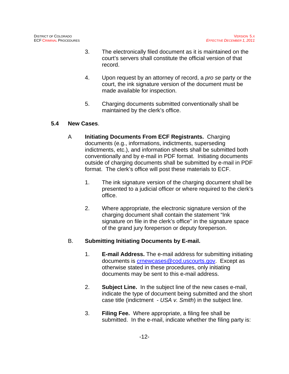- 3. The electronically filed document as it is maintained on the court's servers shall constitute the official version of that record.
- 4. Upon request by an attorney of record, a *pro se* party or the court, the ink signature version of the document must be made available for inspection.
- 5. Charging documents submitted conventionally shall be maintained by the clerk's office.

# **5.4 New Cases**.

- A **Initiating Documents From ECF Registrants.** Charging documents (e.g., informations, indictments, superseding indictments, etc.), and information sheets shall be submitted both conventionally and by e-mail in PDF format. Initiating documents outside of charging documents shall be submitted by e-mail in PDF format. The clerk's office will post these materials to ECF.
	- 1. The ink signature version of the charging document shall be presented to a judicial officer or where required to the clerk's office.
	- 2. Where appropriate, the electronic signature version of the charging document shall contain the statement "Ink signature on file in the clerk's office" in the signature space of the grand jury foreperson or deputy foreperson.

# B. **Submitting Initiating Documents by E-mail.**

- 1. **E-mail Address.** The e-mail address for submitting initiating documents is crnewcases@cod.uscourts.gov. Except as otherwise stated in these procedures, only initiating documents may be sent to this e-mail address.
- 2. **Subject Line.** In the subject line of the new cases e-mail, indicate the type of document being submitted and the short case title (indictment - *USA v. Smith*) in the subject line.
- 3. **Filing Fee.** Where appropriate, a filing fee shall be submitted. In the e-mail, indicate whether the filing party is: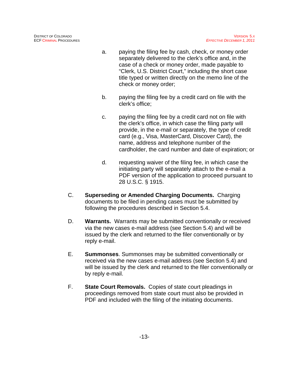- a. paying the filing fee by cash, check, or money order separately delivered to the clerk's office and, in the case of a check or money order, made payable to "Clerk, U.S. District Court," including the short case title typed or written directly on the memo line of the check or money order;
- b. paying the filing fee by a credit card on file with the clerk's office;
- c. paying the filing fee by a credit card not on file with the clerk's office, in which case the filing party will provide, in the e-mail or separately, the type of credit card (e.g., Visa, MasterCard, Discover Card), the name, address and telephone number of the cardholder, the card number and date of expiration; or
- d. requesting waiver of the filing fee, in which case the initiating party will separately attach to the e-mail a PDF version of the application to proceed pursuant to 28 U.S.C. § 1915.
- C. **Superseding or Amended Charging Documents.** Charging documents to be filed in pending cases must be submitted by following the procedures described in Section 5.4.
- D. **Warrants.** Warrants may be submitted conventionally or received via the new cases e-mail address (see Section 5.4) and will be issued by the clerk and returned to the filer conventionally or by reply e-mail.
- E. **Summonses**. Summonses may be submitted conventionally or received via the new cases e-mail address (see Section 5.4) and will be issued by the clerk and returned to the filer conventionally or by reply e-mail.
- F. **State Court Removals.** Copies of state court pleadings in proceedings removed from state court must also be provided in PDF and included with the filing of the initiating documents.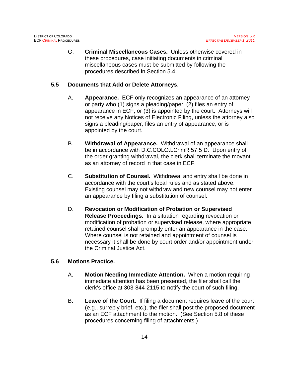G. **Criminal Miscellaneous Cases.** Unless otherwise covered in these procedures, case initiating documents in criminal miscellaneous cases must be submitted by following the procedures described in Section 5.4.

# **5.5 Documents that Add or Delete Attorneys**.

- A. **Appearance.** ECF only recognizes an appearance of an attorney or party who (1) signs a pleading/paper, (2) files an entry of appearance in ECF, or (3) is appointed by the court. Attorneys will not receive any Notices of Electronic Filing, unless the attorney also signs a pleading/paper, files an entry of appearance, or is appointed by the court.
- B. **Withdrawal of Appearance.** Withdrawal of an appearance shall be in accordance with D.C.COLO.LCrimR 57.5 D. Upon entry of the order granting withdrawal, the clerk shall terminate the movant as an attorney of record in that case in ECF.
- C. **Substitution of Counsel.** Withdrawal and entry shall be done in accordance with the court's local rules and as stated above. Existing counsel may not withdraw and new counsel may not enter an appearance by filing a substitution of counsel.
- D. **Revocation or Modification of Probation or Supervised Release Proceedings.** In a situation regarding revocation or modification of probation or supervised release, where appropriate retained counsel shall promptly enter an appearance in the case. Where counsel is not retained and appointment of counsel is necessary it shall be done by court order and/or appointment under the Criminal Justice Act.

# **5.6 Motions Practice.**

- A. **Motion Needing Immediate Attention.** When a motion requiring immediate attention has been presented, the filer shall call the clerk's office at 303-844-2115 to notify the court of such filing.
- B. **Leave of the Court.** If filing a document requires leave of the court (e.g., surreply brief, etc.), the filer shall post the proposed document as an ECF attachment to the motion. (See Section 5.8 of these procedures concerning filing of attachments.)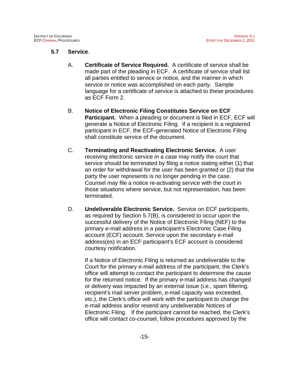#### **5.7 Service**.

- A. **Certificate of Service Required.** A certificate of service shall be made part of the pleading in ECF. A certificate of service shall list all parties entitled to service or notice, and the manner in which service or notice was accomplished on each party. Sample language for a certificate of service is attached to these procedures as ECF Form 2.
- B. **Notice of Electronic Filing Constitutes Service on ECF Participant.** When a pleading or document is filed in ECF, ECF will generate a Notice of Electronic Filing. If a recipient is a registered participant in ECF, the ECF-generated Notice of Electronic Filing shall constitute service of the document.
- C. **Terminating and Reactivating Electronic Service.** A user receiving electronic service in a case may notify the court that service should be terminated by filing a notice stating either (1) that an order for withdrawal for the user has been granted or (2) that the party the user represents is no longer pending in the case. Counsel may file a notice re-activating service with the court in those situations where service, but not representation, has been terminated.
- D. **Undeliverable Electronic Service.** Service on ECF participants, as required by Section 5.7(B), is considered to occur upon the successful delivery of the Notice of Electronic Filing (NEF) to the primary e-mail address in a participant's Electronic Case Filing account (ECF) account. Service upon the secondary e-mail address(es) in an ECF participant's ECF account is considered courtesy notification.

If a Notice of Electronic Filing is returned as undeliverable to the Court for the primary e-mail address of the participant, the Clerk's office will attempt to contact the participant to determine the cause for the returned notice. If the primary e-mail address has changed or delivery was impacted by an external issue (i.e., spam filtering, recipient's mail server problem, e-mail capacity was exceeded, etc.), the Clerk's office will work with the participant to change the e-mail address and/or resend any undeliverable Notices of Electronic Filing. If the participant cannot be reached, the Clerk's office will contact co-counsel, follow procedures approved by the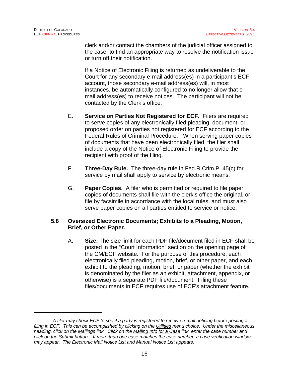clerk and/or contact the chambers of the judicial officer assigned to the case, to find an appropriate way to resolve the notification issue or turn off their notification.

If a Notice of Electronic Filing is returned as undeliverable to the Court for any secondary e-mail address(es) in a participant's ECF account, those secondary e-mail address(es) will, in most instances, be automatically configured to no longer allow that email address(es) to receive notices. The participant will not be contacted by the Clerk's office.

- E. **Service on Parties Not Registered for ECF.** Filers are required to serve copies of any electronically filed pleading, document, or proposed order on parties not registered for ECF according to the Federal Rules of Criminal Procedure.<sup>1</sup> When serving paper copies of documents that have been electronically filed, the filer shall include a copy of the Notice of Electronic Filing to provide the recipient with proof of the filing.
- F. **Three-Day Rule.** The three-day rule in Fed.R.Crim.P. 45(c) for service by mail shall apply to service by electronic means.
- G. **Paper Copies.** A filer who is permitted or required to file paper copies of documents shall file with the clerk's office the original, or file by facsimile in accordance with the local rules, and must also serve paper copies on all parties entitled to service or notice.

#### **5.8 Oversized Electronic Documents; Exhibits to a Pleading, Motion, Brief, or Other Paper.**

A. **Size.** The size limit for each PDF file/document filed in ECF shall be posted in the "Court Information" section on the opening page of the CM/ECF website. For the purpose of this procedure, each electronically filed pleading, motion, brief, or other paper, and each exhibit to the pleading, motion, brief, or paper (whether the exhibit is denominated by the filer as an exhibit, attachment, appendix, or otherwise) is a separate PDF file/document. Filing these files/documents in ECF requires use of ECF's attachment feature.

<sup>1</sup> *A filer may check ECF to see if a party is registered to receive e-mail noticing before posting a filing in ECF. This can be accomplished by clicking on the Utilities menu choice. Under the miscellaneous heading, click on the Mailings link. Click on the Mailing Info for a Case link, enter the case number and click on the Submit button. If more than one case matches the case number, a case verification window may appear. The Electronic Mail Notice List and Manual Notice List appears.*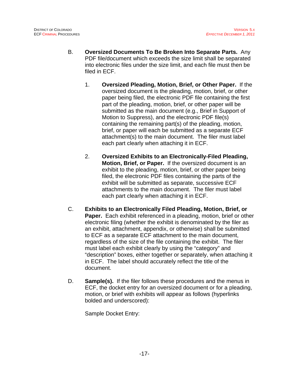- B. **Oversized Documents To Be Broken Into Separate Parts.** Any PDF file/document which exceeds the size limit shall be separated into electronic files under the size limit, and each file must then be filed in ECF.
	- 1. **Oversized Pleading, Motion, Brief, or Other Paper.** If the oversized document is the pleading, motion, brief, or other paper being filed, the electronic PDF file containing the first part of the pleading, motion, brief, or other paper will be submitted as the main document (e.g., Brief in Support of Motion to Suppress), and the electronic PDF file(s) containing the remaining part(s) of the pleading, motion, brief, or paper will each be submitted as a separate ECF attachment(s) to the main document. The filer must label each part clearly when attaching it in ECF.
	- 2. **Oversized Exhibits to an Electronically-Filed Pleading, Motion, Brief, or Paper.** If the oversized document is an exhibit to the pleading, motion, brief, or other paper being filed, the electronic PDF files containing the parts of the exhibit will be submitted as separate, successive ECF attachments to the main document. The filer must label each part clearly when attaching it in ECF.
- C. **Exhibits to an Electronically Filed Pleading, Motion, Brief, or Paper.** Each exhibit referenced in a pleading, motion, brief or other electronic filing (whether the exhibit is denominated by the filer as an exhibit, attachment, appendix, or otherwise) shall be submitted to ECF as a separate ECF attachment to the main document, regardless of the size of the file containing the exhibit. The filer must label each exhibit clearly by using the "category" and "description" boxes, either together or separately, when attaching it in ECF. The label should accurately reflect the title of the document.
- D. **Sample(s).** If the filer follows these procedures and the menus in ECF, the docket entry for an oversized document or for a pleading, motion, or brief with exhibits will appear as follows (hyperlinks bolded and underscored):

Sample Docket Entry: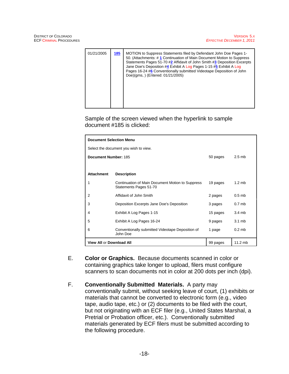| 01/21/2005 | 185 | MOTION to Suppress Statements filed by Defendant John Doe Pages 1-<br>50. (Attachments: #1 Continuation of Main Document Motion to Suppress<br>Statements Pages 51-70 #2 Affidavit of John Smith #3 Deposition Excerpts<br>Jane Doe's Deposition #4 Exhibit A Log Pages 1-15 #5 Exhibit A Log<br>Pages 16-24 #6 Conventionally submitted Videotape Deposition of John<br>Doe)(qms, ) (Entered: 01/21/2005) |
|------------|-----|------------------------------------------------------------------------------------------------------------------------------------------------------------------------------------------------------------------------------------------------------------------------------------------------------------------------------------------------------------------------------------------------------------|
|            |     |                                                                                                                                                                                                                                                                                                                                                                                                            |

Sample of the screen viewed when the hyperlink to sample document #185 is clicked:

| <b>Document Selection Menu</b>                    |                                                                            |          |                   |  |
|---------------------------------------------------|----------------------------------------------------------------------------|----------|-------------------|--|
| Select the document you wish to view.             |                                                                            |          |                   |  |
| Document Number: 185                              |                                                                            | 50 pages | $2.5$ mb          |  |
|                                                   |                                                                            |          |                   |  |
| <b>Attachment</b>                                 | <b>Description</b>                                                         |          |                   |  |
| 1                                                 | Continuation of Main Document Motion to Suppress<br>Statements Pages 51-70 | 19 pages | $1.2 \text{ mb}$  |  |
| 2                                                 | Affidavit of John Smith                                                    | 2 pages  | $0.5$ mb          |  |
| 3                                                 | Deposition Excerpts Jane Doe's Deposition                                  | 3 pages  | 0.7 <sub>mb</sub> |  |
| 4                                                 | Exhibit A Log Pages 1-15                                                   | 15 pages | $3.4 \text{ mb}$  |  |
| 5                                                 | Exhibit A Log Pages 16-24                                                  | 9 pages  | $3.1 \text{ mb}$  |  |
| 6                                                 | Conventionally submitted Videotape Deposition of<br>John Doe               | 1 page   | $0.2$ mb          |  |
| $11.2$ mb<br>View All or Download All<br>99 pages |                                                                            |          |                   |  |

- E. **Color or Graphics.** Because documents scanned in color or containing graphics take longer to upload, filers must configure scanners to scan documents not in color at 200 dots per inch (dpi).
- F. **Conventionally Submitted Materials.** A party may conventionally submit, without seeking leave of court, (1) exhibits or materials that cannot be converted to electronic form (e.g., video tape, audio tape, etc.) or (2) documents to be filed with the court, but not originating with an ECF filer (e.g., United States Marshal, a Pretrial or Probation officer, etc.). Conventionally submitted materials generated by ECF filers must be submitted according to the following procedure.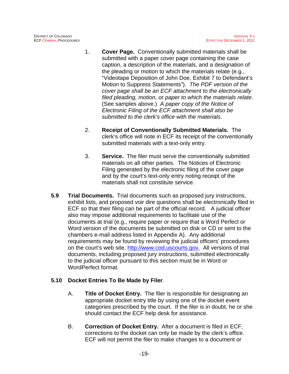- 1. **Cover Page.** Conventionally submitted materials shall be submitted with a paper cover page containing the case caption, a description of the materials, and a designation of the pleading or motion to which the materials relate (e.g., "Videotape Deposition of John Doe, Exhibit 7 to Defendant's Motion to Suppress Statements"). *The PDF version of the cover page shall be an ECF attachment to the electronically filed pleading, motion, or paper to which the materials relate*. (See samples above.) *A paper copy of the Notice of Electronic Filing of the ECF attachment shall also be submitted to the clerk's office with the materials*.
- 2. **Receipt of Conventionally Submitted Materials.** The clerk's office will note in ECF its receipt of the conventionally submitted materials with a text-only entry.
- 3. **Service.** The filer must serve the conventionally submitted materials on all other parties. The Notices of Electronic Filing generated by the electronic filing of the cover page and by the court's text-only entry noting receipt of the materials shall not constitute service.
- **5.9 Trial Documents.** Trial documents such as proposed jury instructions, exhibit lists, and proposed voir dire questions shall be electronically filed in ECF so that their filing can be part of the official record. A judicial officer also may impose additional requirements to facilitate use of the documents at trial (e.g., require paper or require that a Word Perfect or Word version of the documents be submitted on disk or CD or sent to the chambers e-mail address listed in Appendix A). Any additional requirements may be found by reviewing the judicial officers' procedures on the court's web site, http://www.cod.uscourts.gov. All versions of trial documents, including proposed jury instructions, submitted electronically to the judicial officer pursuant to this section must be in Word or WordPerfect format.

# **5.10 Docket Entries To Be Made by Filer**.

- A. **Title of Docket Entry.** The filer is responsible for designating an appropriate docket entry title by using one of the docket event categories prescribed by the court. If the filer is in doubt, he or she should contact the ECF help desk for assistance.
- B. **Correction of Docket Entry.** After a document is filed in ECF, corrections to the docket can only be made by the clerk's office. ECF will not permit the filer to make changes to a document or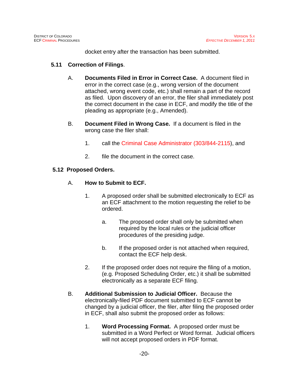docket entry after the transaction has been submitted.

#### **5.11 Correction of Filings**.

- A. **Documents Filed in Error in Correct Case.** A document filed in error in the correct case (e.g., wrong version of the document attached, wrong event code, etc.) shall remain a part of the record as filed. Upon discovery of an error, the filer shall immediately post the correct document in the case in ECF, and modify the title of the pleading as appropriate (e.g., Amended).
- B. **Document Filed in Wrong Case.** If a document is filed in the wrong case the filer shall:
	- 1. call the Criminal Case Administrator (303/844-2115), and
	- 2. file the document in the correct case.

#### **5.12 Proposed Orders.**

#### A. **How to Submit to ECF.**

- 1. A proposed order shall be submitted electronically to ECF as an ECF attachment to the motion requesting the relief to be ordered.
	- a. The proposed order shall only be submitted when required by the local rules or the judicial officer procedures of the presiding judge.
	- b. If the proposed order is not attached when required, contact the ECF help desk.
- 2. If the proposed order does not require the filing of a motion, (e.g. Proposed Scheduling Order, etc.) it shall be submitted electronically as a separate ECF filing.
- B. **Additional Submission to Judicial Officer.** Because the electronically-filed PDF document submitted to ECF cannot be changed by a judicial officer, the filer, after filing the proposed order in ECF, shall also submit the proposed order as follows:
	- 1. **Word Processing Format.** A proposed order must be submitted in a Word Perfect or Word format. Judicial officers will not accept proposed orders in PDF format.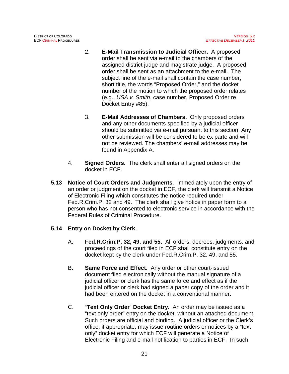- 2. **E-Mail Transmission to Judicial Officer.** A proposed order shall be sent via e-mail to the chambers of the assigned district judge and magistrate judge. A proposed order shall be sent as an attachment to the e-mail. The subiect line of the e-mail shall contain the case number, short title, the words "Proposed Order," and the docket number of the motion to which the proposed order relates (e.g., *USA v. Smith*, case number, Proposed Order re Docket Entry #85).
- 3. **E-Mail Addresses of Chambers.** Only proposed orders and any other documents specified by a judicial officer should be submitted via e-mail pursuant to this section. Any other submission will be considered to be ex parte and will not be reviewed. The chambers' e-mail addresses may be found in Appendix A.
- 4. **Signed Orders.** The clerk shall enter all signed orders on the docket in ECF.
- **5.13 Notice of Court Orders and Judgments**. Immediately upon the entry of an order or judgment on the docket in ECF, the clerk will transmit a Notice of Electronic Filing which constitutes the notice required under Fed.R.Crim.P. 32 and 49. The clerk shall give notice in paper form to a person who has not consented to electronic service in accordance with the Federal Rules of Criminal Procedure.

# **5.14 Entry on Docket by Clerk**.

- A. **Fed.R.Crim.P. 32, 49, and 55.** All orders, decrees, judgments, and proceedings of the court filed in ECF shall constitute entry on the docket kept by the clerk under Fed.R.Crim.P. 32, 49, and 55.
- B. **Same Force and Effect.** Any order or other court-issued document filed electronically without the manual signature of a judicial officer or clerk has the same force and effect as if the judicial officer or clerk had signed a paper copy of the order and it had been entered on the docket in a conventional manner.
- C. "**Text Only Order**" **Docket Entry.** An order may be issued as a "text only order" entry on the docket, without an attached document. Such orders are official and binding. A judicial officer or the Clerk's office, if appropriate, may issue routine orders or notices by a "text only" docket entry for which ECF will generate a Notice of Electronic Filing and e-mail notification to parties in ECF. In such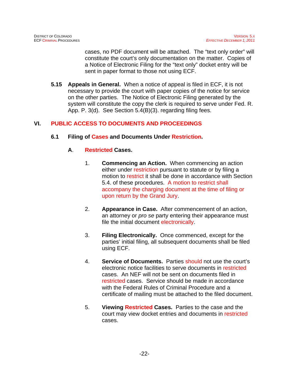cases, no PDF document will be attached. The "text only order" will constitute the court's only documentation on the matter. Copies of a Notice of Electronic Filing for the "text only" docket entry will be sent in paper format to those not using ECF.

**5.15 Appeals in General.** When a notice of appeal is filed in ECF, it is not necessary to provide the court with paper copies of the notice for service on the other parties. The Notice of Electronic Filing generated by the system will constitute the copy the clerk is required to serve under Fed. R. App. P. 3(d). See Section 5.4(B)(3). regarding filing fees.

# **VI. PUBLIC ACCESS TO DOCUMENTS AND PROCEEDINGS**

#### **6.1 Filing of Cases and Documents Under Restriction.**

#### **A**. **Restricted Cases.**

- 1. **Commencing an Action.** When commencing an action either under restriction pursuant to statute or by filing a motion to restrict it shall be done in accordance with Section 5.4. of these procedures. A motion to restrict shall accompany the charging document at the time of filing or upon return by the Grand Jury.
- 2. **Appearance in Case.** After commencement of an action, an attorney or *pro se* party entering their appearance must file the initial document electronically.
- 3. **Filing Electronically.** Once commenced, except for the parties' initial filing, all subsequent documents shall be filed using ECF.
- 4. **Service of Documents.** Parties should not use the court's electronic notice facilities to serve documents in restricted cases. An NEF will not be sent on documents filed in restricted cases. Service should be made in accordance with the Federal Rules of Criminal Procedure and a certificate of mailing must be attached to the filed document.
- 5. **Viewing Restricted Cases.** Parties to the case and the court may view docket entries and documents in restricted cases.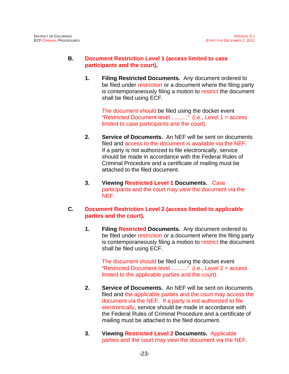#### **B. Document Restriction Level 1 (access limited to case participants and the court).**

**1. Filing Restricted Documents.** Any document ordered to be filed under restriction or a document where the filing party is contemporaneously filing a motion to restrict the document shall be filed using ECF.

The document should be filed using the docket event "Restricted Document level .........." (i.e., Level 1 = access limited to case participants and the court).

- **2. Service of Documents.** An NEF will be sent on documents filed and access to the document is available via the NEF. If a party is not authorized to file electronically, service should be made in accordance with the Federal Rules of Criminal Procedure and a certificate of mailing must be attached to the filed document.
- **3. Viewing Restricted Level 1 Documents.** Case participants and the court may view the document via the NEF.
- **C. Document Restriction Level 2 (access limited to applicable parties and the court).**
	- **1. Filing Restricted Documents.** Any document ordered to be filed under restriction or a document where the filing party is contemporaneously filing a motion to restrict the document shall be filed using ECF.

The document should be filed using the docket event "Restricted Document level .........." (i.e., Level 2 = access limited to the applicable parties and the court).

- **2. Service of Documents.** An NEF will be sent on documents filed and the applicable parties and the court may access the document via the NEF. If a party is not authorized to file electronically, service should be made in accordance with the Federal Rules of Criminal Procedure and a certificate of mailing must be attached to the filed document.
- **3. Viewing Restricted Level 2 Documents.** Applicable parties and the court may view the document via the NEF.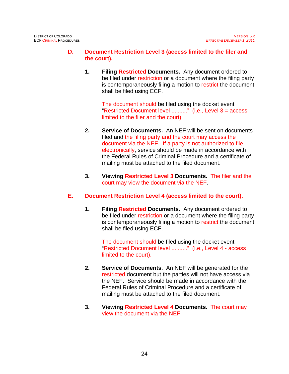# **D. Document Restriction Level 3 (access limited to the filer and the court).**

**1. Filing Restricted Documents.** Any document ordered to be filed under restriction or a document where the filing party is contemporaneously filing a motion to restrict the document shall be filed using ECF.

> The document should be filed using the docket event "Restricted Document level .........." (i.e., Level 3 = access limited to the filer and the court).

- **2. Service of Documents.** An NEF will be sent on documents filed and the filing party and the court may access the document via the NEF. If a party is not authorized to file electronically, service should be made in accordance with the Federal Rules of Criminal Procedure and a certificate of mailing must be attached to the filed document.
- **3. Viewing Restricted Level 3 Documents.** The filer and the court may view the document via the NEF.

# **E. Document Restriction Level 4 (access limited to the court).**

**1. Filing Restricted Documents.** Any document ordered to be filed under restriction or a document where the filing party is contemporaneously filing a motion to restrict the document shall be filed using ECF.

The document should be filed using the docket event "Restricted Document level .........." (i.e., Level 4 - access limited to the court).

- **2. Service of Documents.** An NEF will be generated for the restricted document but the parties will not have access via the NEF. Service should be made in accordance with the Federal Rules of Criminal Procedure and a certificate of mailing must be attached to the filed document.
- **3. Viewing Restricted Level 4 Documents.** The court may view the document via the NEF.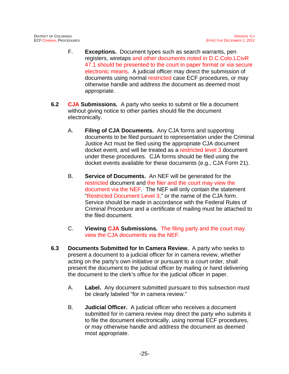- F. **Exceptions.** Document types such as search warrants, pen registers, wiretaps and other documents noted in D.C.Colo.LCivR 47.1 should be presented to the court in paper format or via secure electronic means. A judicial officer may direct the submission of documents using normal restricted case ECF procedures, or may otherwise handle and address the document as deemed most appropriate.
- **6.2 CJA Submissions.** A party who seeks to submit or file a document without giving notice to other parties should file the document electronically.
	- A. **Filing of CJA Documents.** Any CJA forms and supporting documents to be filed pursuant to representation under the Criminal Justice Act must be filed using the appropriate CJA document docket event, and will be treated as a restricted level 3 document under these procedures. CJA forms should be filed using the docket events available for these documents (e.g., CJA Form 21).
	- B. **Service of Documents.** An NEF will be generated for the restricted document and the filer and the court may view the document via the NEF. The NEF will only contain the statement "Restricted Document Level 3," or the name of the CJA form. Service should be made in accordance with the Federal Rules of Criminal Procedure and a certificate of mailing must be attached to the filed document.
	- C. **Viewing CJA Submissions.** The filing party and the court may view the CJA documents via the NEF.
- **6.3 Documents Submitted for In Camera Review.** A party who seeks to present a document to a judicial officer for in camera review, whether acting on the party's own initiative or pursuant to a court order, shall present the document to the judicial officer by mailing or hand delivering the document to the clerk's office for the judicial officer in paper.
	- A. **Label.** Any document submitted pursuant to this subsection must be clearly labeled "for in camera review."
	- B. **Judicial Officer.** A judicial officer who receives a document submitted for in camera review may direct the party who submits it to file the document electronically, using normal ECF procedures, or may otherwise handle and address the document as deemed most appropriate.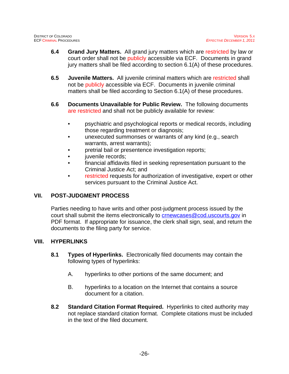- **6.4 Grand Jury Matters.** All grand jury matters which are restricted by law or court order shall not be publicly accessible via ECF. Documents in grand jury matters shall be filed according to section 6.1(A) of these procedures.
- **6.5 Juvenile Matters.** All juvenile criminal matters which are restricted shall not be publicly accessible via ECF. Documents in juvenile criminal matters shall be filed according to Section 6.1(A) of these procedures.
- **6.6 Documents Unavailable for Public Review.** The following documents are restricted and shall not be publicly available for review:
	- psychiatric and psychological reports or medical records, including those regarding treatment or diagnosis;
	- unexecuted summonses or warrants of any kind (e.g., search warrants, arrest warrants);
	- pretrial bail or presentence investigation reports;
	- iuvenile records:
	- financial affidavits filed in seeking representation pursuant to the Criminal Justice Act; and
	- restricted requests for authorization of investigative, expert or other services pursuant to the Criminal Justice Act.

# **VII. POST-JUDGMENT PROCESS**

Parties needing to have writs and other post-judgment process issued by the court shall submit the items electronically to **crnewcases@cod.uscourts.gov** in PDF format. If appropriate for issuance, the clerk shall sign, seal, and return the documents to the filing party for service.

# **VIII. HYPERLINKS**

- **8.1 Types of Hyperlinks.** Electronically filed documents may contain the following types of hyperlinks:
	- A. hyperlinks to other portions of the same document; and
	- B. hyperlinks to a location on the Internet that contains a source document for a citation.
- **8.2 Standard Citation Format Required.** Hyperlinks to cited authority may not replace standard citation format. Complete citations must be included in the text of the filed document.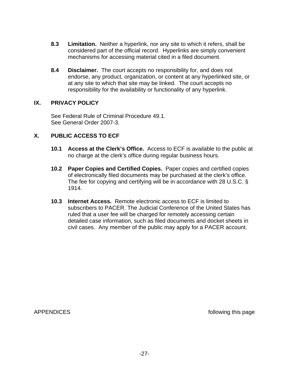- **8.3 Limitation.** Neither a hyperlink, nor any site to which it refers, shall be considered part of the official record. Hyperlinks are simply convenient mechanisms for accessing material cited in a filed document.
- **8.4 Disclaimer.** The court accepts no responsibility for, and does not endorse, any product, organization, or content at any hyperlinked site, or at any site to which that site may be linked. The court accepts no responsibility for the availability or functionality of any hyperlink.

#### **IX. PRIVACY POLICY**

See Federal Rule of Criminal Procedure 49.1. See General Order 2007-3.

#### **X. PUBLIC ACCESS TO ECF**

- **10.1 Access at the Clerk's Office.** Access to ECF is available to the public at no charge at the clerk's office during regular business hours.
- **10.2 Paper Copies and Certified Copies.** Paper copies and certified copies of electronically filed documents may be purchased at the clerk's office. The fee for copying and certifying will be in accordance with 28 U.S.C. § 1914.
- **10.3 Internet Access.** Remote electronic access to ECF is limited to subscribers to PACER. The Judicial Conference of the United States has ruled that a user fee will be charged for remotely accessing certain detailed case information, such as filed documents and docket sheets in civil cases. Any member of the public may apply for a PACER account.

APPENDICES and the state of the state of the state of the state of the state of the state of the state of the state of the state of the state of the state of the state of the state of the state of the state of the state of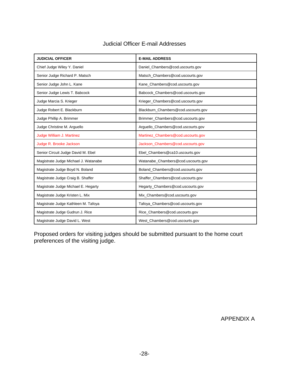| <b>JUDICIAL OFFICER</b>              | <b>E-MAIL ADDRESS</b>               |  |  |
|--------------------------------------|-------------------------------------|--|--|
| Chief Judge Wiley Y. Daniel          | Daniel_Chambers@cod.uscourts.gov    |  |  |
| Senior Judge Richard P. Matsch       | Matsch_Chambers@cod.uscourts.gov    |  |  |
| Senior Judge John L. Kane            | Kane_Chambers@cod.uscourts.gov      |  |  |
| Senior Judge Lewis T. Babcock        | Babcock_Chambers@cod.uscourts.gov   |  |  |
| Judge Marcia S. Krieger              | Krieger_Chambers@cod.uscourts.gov   |  |  |
| Judge Robert E. Blackburn            | Blackburn_Chambers@cod.uscourts.gov |  |  |
| Judge Phillip A. Brimmer             | Brimmer_Chambers@cod.uscourts.gov   |  |  |
| Judge Christine M. Arguello          | Arguello_Chambers@cod.uscourts.gov  |  |  |
| Judge William J. Martinez            | Martinez_Chambers@cod.uscourts.gov  |  |  |
| Judge R. Brooke Jackson              | Jackson_Chambers@cod.uscourts.gov   |  |  |
| Senior Circuit Judge David M. Ebel   | Ebel_Chambers@ca10.uscourts.gov     |  |  |
| Magistrate Judge Michael J. Watanabe | Watanabe_Chambers@cod.uscourts.gov  |  |  |
| Magistrate Judge Boyd N. Boland      | Boland_Chambers@cod.uscourts.gov    |  |  |
| Magistrate Judge Craig B. Shaffer    | Shaffer_Chambers@cod.uscourts.gov   |  |  |
| Magistrate Judge Michael E. Hegarty  | Hegarty_Chambers@cod.uscourts.gov   |  |  |
| Magistrate Judge Kristen L. Mix      | Mix_Chambers@cod.uscourts.gov       |  |  |
| Magistrate Judge Kathleen M. Tafoya  | Tafoya_Chambers@cod.uscourts.gov    |  |  |
| Magistrate Judge Gudrun J. Rice      | Rice_Chambers@cod.uscourts.gov      |  |  |
| Magistrate Judge David L. West       | West_Chambers@cod.uscourts.gov      |  |  |

# Judicial Officer E-mail Addresses

Proposed orders for visiting judges should be submitted pursuant to the home court preferences of the visiting judge.

APPENDIX A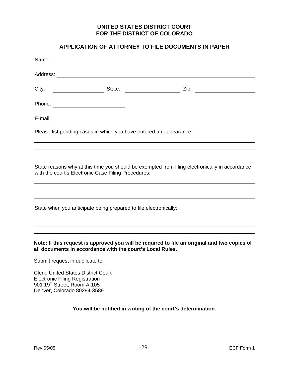#### **UNITED STATES DISTRICT COURT FOR THE DISTRICT OF COLORADO**

#### **APPLICATION OF ATTORNEY TO FILE DOCUMENTS IN PAPER**

| E-mail: ___________________________                                                                                                                       |  |  |                                                                                                |  |
|-----------------------------------------------------------------------------------------------------------------------------------------------------------|--|--|------------------------------------------------------------------------------------------------|--|
| Please list pending cases in which you have entered an appearance:                                                                                        |  |  |                                                                                                |  |
|                                                                                                                                                           |  |  |                                                                                                |  |
| with the court's Electronic Case Filing Procedures:                                                                                                       |  |  | State reasons why at this time you should be exempted from filing electronically in accordance |  |
|                                                                                                                                                           |  |  |                                                                                                |  |
| State when you anticipate being prepared to file electronically:                                                                                          |  |  |                                                                                                |  |
|                                                                                                                                                           |  |  | ,我们也不会有什么。""我们的人,我们也不会有什么?""我们的人,我们也不会有什么?""我们的人,我们也不会有什么?""我们的人,我们也不会有什么?""我们的人               |  |
| Note: If this request is approved you will be required to file an original and two copies of<br>all documents in accordance with the court's Local Rules. |  |  |                                                                                                |  |

Submit request in duplicate to:

Clerk, United States District Court Electronic Filing Registration 901 19<sup>th</sup> Street, Room A-105 Denver, Colorado 80294-3589

**You will be notified in writing of the court's determination.**